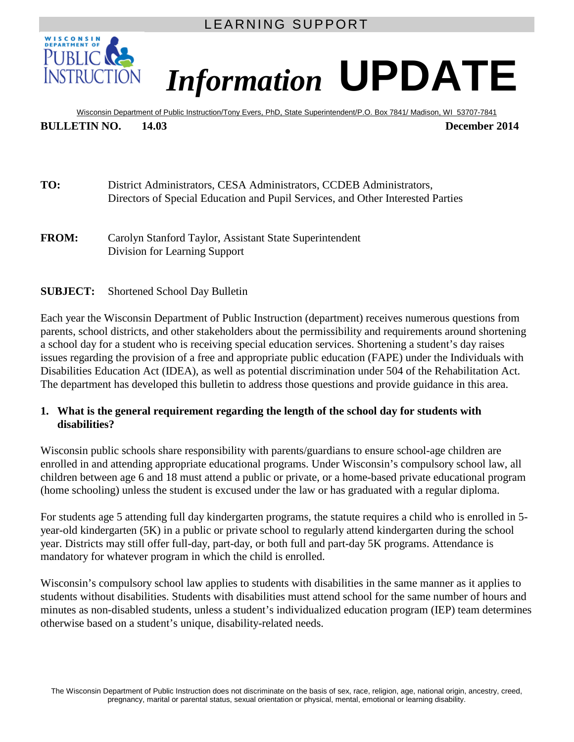LEARNING SUPPORT



# *Information* **UPDATE**

Wisconsin Department of Public Instruction/Tony Evers, PhD, State Superintendent/P.O. Box 7841/ Madison, WI 53707-7841 **BULLETIN NO. 14.03 December 2014**

**TO:** District Administrators, CESA Administrators, CCDEB Administrators, Directors of Special Education and Pupil Services, and Other Interested Parties

**FROM:** Carolyn Stanford Taylor, Assistant State Superintendent Division for Learning Support

#### **SUBJECT:** Shortened School Day Bulletin

Each year the Wisconsin Department of Public Instruction (department) receives numerous questions from parents, school districts, and other stakeholders about the permissibility and requirements around shortening a school day for a student who is receiving special education services. Shortening a student's day raises issues regarding the provision of a free and appropriate public education (FAPE) under the Individuals with Disabilities Education Act (IDEA), as well as potential discrimination under 504 of the Rehabilitation Act. The department has developed this bulletin to address those questions and provide guidance in this area.

#### **1. What is the general requirement regarding the length of the school day for students with disabilities?**

Wisconsin public schools share responsibility with parents/guardians to ensure school-age children are enrolled in and attending appropriate educational programs. Under Wisconsin's compulsory school law, all children between age 6 and 18 must attend a public or private, or a home-based private educational program (home schooling) unless the student is excused under the law or has graduated with a regular diploma.

For students age 5 attending full day kindergarten programs, the statute requires a child who is enrolled in 5 year-old kindergarten (5K) in a public or private school to regularly attend kindergarten during the school year. Districts may still offer full-day, part-day, or both full and part-day 5K programs. Attendance is mandatory for whatever program in which the child is enrolled.

Wisconsin's compulsory school law applies to students with disabilities in the same manner as it applies to students without disabilities. Students with disabilities must attend school for the same number of hours and minutes as non-disabled students, unless a student's individualized education program (IEP) team determines otherwise based on a student's unique, disability-related needs.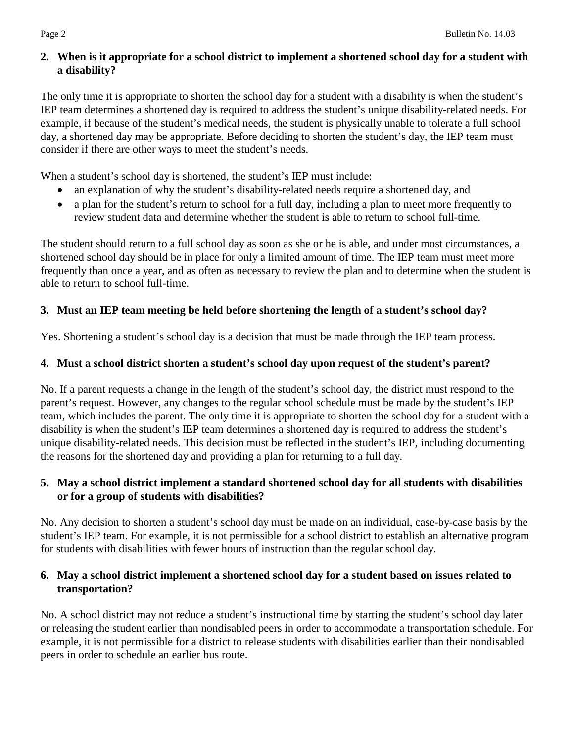## **2. When is it appropriate for a school district to implement a shortened school day for a student with a disability?**

The only time it is appropriate to shorten the school day for a student with a disability is when the student's IEP team determines a shortened day is required to address the student's unique disability-related needs. For example, if because of the student's medical needs, the student is physically unable to tolerate a full school day, a shortened day may be appropriate. Before deciding to shorten the student's day, the IEP team must consider if there are other ways to meet the student's needs.

When a student's school day is shortened, the student's IEP must include:

- an explanation of why the student's disability-related needs require a shortened day, and
- a plan for the student's return to school for a full day, including a plan to meet more frequently to review student data and determine whether the student is able to return to school full-time.

The student should return to a full school day as soon as she or he is able, and under most circumstances, a shortened school day should be in place for only a limited amount of time. The IEP team must meet more frequently than once a year, and as often as necessary to review the plan and to determine when the student is able to return to school full-time.

# **3. Must an IEP team meeting be held before shortening the length of a student's school day?**

Yes. Shortening a student's school day is a decision that must be made through the IEP team process.

# **4. Must a school district shorten a student's school day upon request of the student's parent?**

No. If a parent requests a change in the length of the student's school day, the district must respond to the parent's request. However, any changes to the regular school schedule must be made by the student's IEP team, which includes the parent. The only time it is appropriate to shorten the school day for a student with a disability is when the student's IEP team determines a shortened day is required to address the student's unique disability-related needs. This decision must be reflected in the student's IEP, including documenting the reasons for the shortened day and providing a plan for returning to a full day.

# **5. May a school district implement a standard shortened school day for all students with disabilities or for a group of students with disabilities?**

No. Any decision to shorten a student's school day must be made on an individual, case-by-case basis by the student's IEP team. For example, it is not permissible for a school district to establish an alternative program for students with disabilities with fewer hours of instruction than the regular school day.

# **6. May a school district implement a shortened school day for a student based on issues related to transportation?**

No. A school district may not reduce a student's instructional time by starting the student's school day later or releasing the student earlier than nondisabled peers in order to accommodate a transportation schedule. For example, it is not permissible for a district to release students with disabilities earlier than their nondisabled peers in order to schedule an earlier bus route.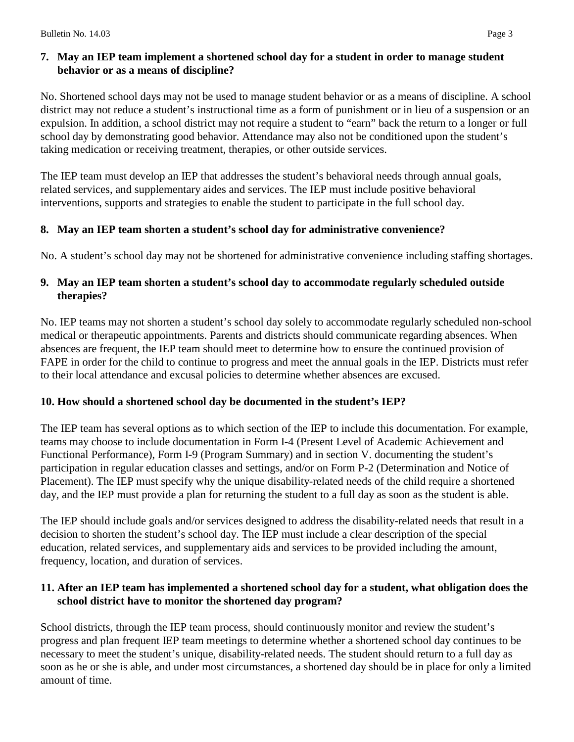# **7. May an IEP team implement a shortened school day for a student in order to manage student behavior or as a means of discipline?**

No. Shortened school days may not be used to manage student behavior or as a means of discipline. A school district may not reduce a student's instructional time as a form of punishment or in lieu of a suspension or an expulsion. In addition, a school district may not require a student to "earn" back the return to a longer or full school day by demonstrating good behavior. Attendance may also not be conditioned upon the student's taking medication or receiving treatment, therapies, or other outside services.

The IEP team must develop an IEP that addresses the student's behavioral needs through annual goals, related services, and supplementary aides and services. The IEP must include positive behavioral interventions, supports and strategies to enable the student to participate in the full school day.

# **8. May an IEP team shorten a student's school day for administrative convenience?**

No. A student's school day may not be shortened for administrative convenience including staffing shortages.

#### **9. May an IEP team shorten a student's school day to accommodate regularly scheduled outside therapies?**

No. IEP teams may not shorten a student's school day solely to accommodate regularly scheduled non-school medical or therapeutic appointments. Parents and districts should communicate regarding absences. When absences are frequent, the IEP team should meet to determine how to ensure the continued provision of FAPE in order for the child to continue to progress and meet the annual goals in the IEP. Districts must refer to their local attendance and excusal policies to determine whether absences are excused.

## **10. How should a shortened school day be documented in the student's IEP?**

The IEP team has several options as to which section of the IEP to include this documentation. For example, teams may choose to include documentation in Form I-4 (Present Level of Academic Achievement and Functional Performance), Form I-9 (Program Summary) and in section V. documenting the student's participation in regular education classes and settings, and/or on Form P-2 (Determination and Notice of Placement). The IEP must specify why the unique disability-related needs of the child require a shortened day, and the IEP must provide a plan for returning the student to a full day as soon as the student is able.

The IEP should include goals and/or services designed to address the disability-related needs that result in a decision to shorten the student's school day. The IEP must include a clear description of the special education, related services, and supplementary aids and services to be provided including the amount, frequency, location, and duration of services.

#### **11. After an IEP team has implemented a shortened school day for a student, what obligation does the school district have to monitor the shortened day program?**

School districts, through the IEP team process, should continuously monitor and review the student's progress and plan frequent IEP team meetings to determine whether a shortened school day continues to be necessary to meet the student's unique, disability-related needs. The student should return to a full day as soon as he or she is able, and under most circumstances, a shortened day should be in place for only a limited amount of time.